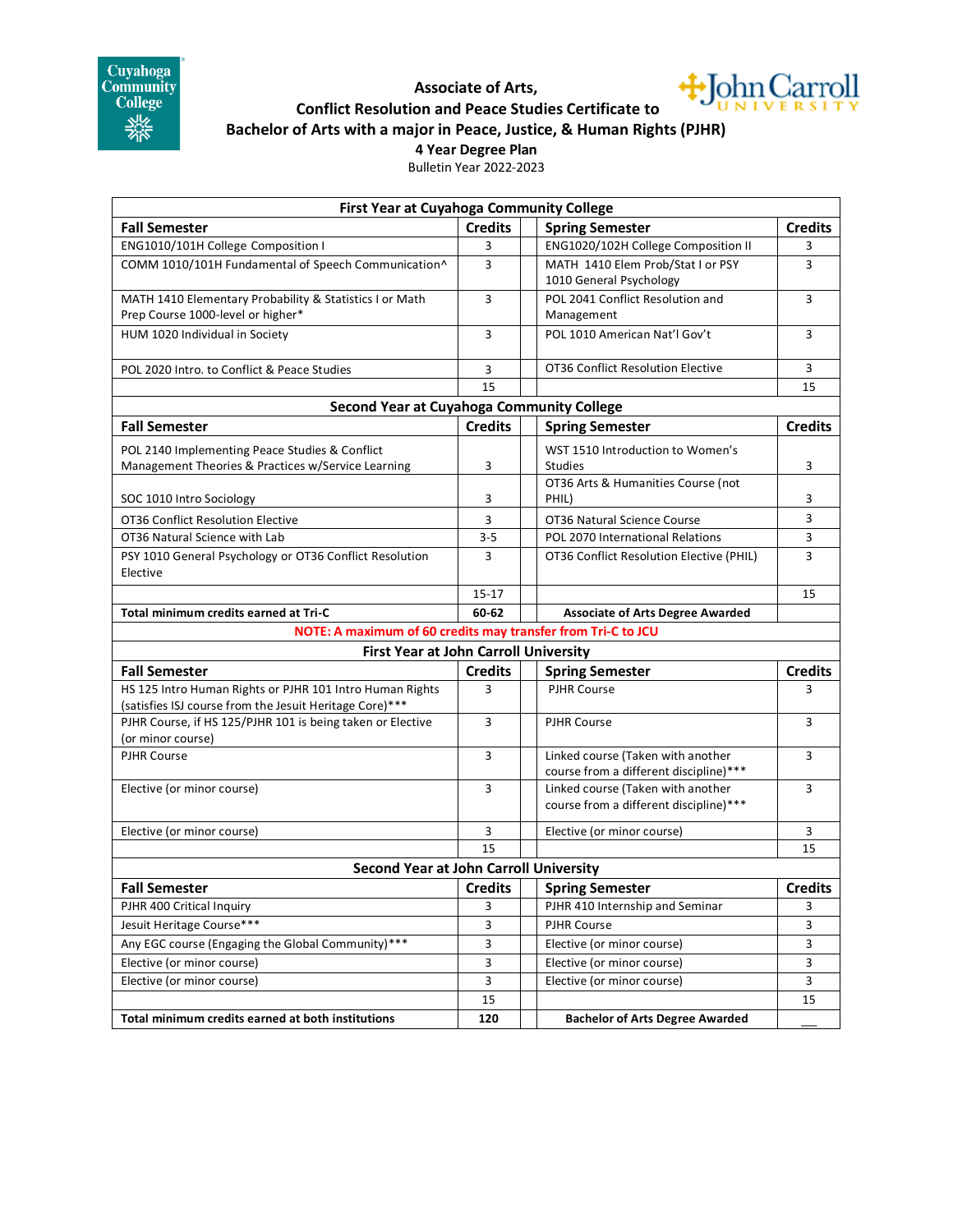

## +John Carroll **Associate of Arts, Conflict Resolution and Peace Studies Certificate to Bachelor of Arts with a major in Peace, Justice, & Human Rights (PJHR) 4 Year Degree Plan**

Bulletin Year 2022-2023

| First Year at Cuyahoga Community College                     |                |                                                                             |                |
|--------------------------------------------------------------|----------------|-----------------------------------------------------------------------------|----------------|
| <b>Fall Semester</b>                                         | <b>Credits</b> | <b>Spring Semester</b>                                                      | <b>Credits</b> |
| ENG1010/101H College Composition I                           | 3              | ENG1020/102H College Composition II                                         | 3              |
| COMM 1010/101H Fundamental of Speech Communication^          | 3              | MATH 1410 Elem Prob/Stat I or PSY                                           | 3              |
|                                                              |                | 1010 General Psychology                                                     |                |
| MATH 1410 Elementary Probability & Statistics I or Math      | 3              | POL 2041 Conflict Resolution and                                            | 3              |
| Prep Course 1000-level or higher*                            |                | Management                                                                  |                |
| HUM 1020 Individual in Society                               | 3              | POL 1010 American Nat'l Gov't                                               | 3              |
| POL 2020 Intro. to Conflict & Peace Studies                  | 3              | OT36 Conflict Resolution Elective                                           | 3              |
|                                                              | 15             |                                                                             | 15             |
| <b>Second Year at Cuyahoga Community College</b>             |                |                                                                             |                |
| <b>Fall Semester</b>                                         | <b>Credits</b> | <b>Spring Semester</b>                                                      | <b>Credits</b> |
| POL 2140 Implementing Peace Studies & Conflict               |                | WST 1510 Introduction to Women's                                            |                |
| Management Theories & Practices w/Service Learning           | 3              | Studies                                                                     | 3              |
|                                                              |                | OT36 Arts & Humanities Course (not                                          |                |
| SOC 1010 Intro Sociology                                     | 3              | PHIL)                                                                       | 3              |
| OT36 Conflict Resolution Elective                            | 3              | OT36 Natural Science Course                                                 | 3              |
| OT36 Natural Science with Lab                                | 3-5            | POL 2070 International Relations                                            | 3              |
| PSY 1010 General Psychology or OT36 Conflict Resolution      | 3              | OT36 Conflict Resolution Elective (PHIL)                                    | 3              |
| Elective                                                     |                |                                                                             |                |
|                                                              | $15 - 17$      |                                                                             | 15             |
| Total minimum credits earned at Tri-C                        | 60-62          | <b>Associate of Arts Degree Awarded</b>                                     |                |
| NOTE: A maximum of 60 credits may transfer from Tri-C to JCU |                |                                                                             |                |
| <b>First Year at John Carroll University</b>                 |                |                                                                             |                |
| <b>Fall Semester</b>                                         | <b>Credits</b> | <b>Spring Semester</b>                                                      | <b>Credits</b> |
| HS 125 Intro Human Rights or PJHR 101 Intro Human Rights     | 3              | <b>PJHR Course</b>                                                          | 3              |
| (satisfies ISJ course from the Jesuit Heritage Core)***      |                |                                                                             |                |
| PJHR Course, if HS 125/PJHR 101 is being taken or Elective   | 3              | <b>PJHR Course</b>                                                          | 3              |
| (or minor course)                                            |                |                                                                             |                |
| <b>PJHR Course</b>                                           | 3              | Linked course (Taken with another                                           | 3              |
|                                                              |                | course from a different discipline)***                                      |                |
| Elective (or minor course)                                   | 3              | Linked course (Taken with another<br>course from a different discipline)*** | 3              |
|                                                              |                |                                                                             |                |
| Elective (or minor course)                                   | 3              | Elective (or minor course)                                                  | 3              |
|                                                              | 15             |                                                                             | 15             |
| <b>Second Year at John Carroll University</b>                |                |                                                                             |                |
| <b>Fall Semester</b>                                         | <b>Credits</b> | <b>Spring Semester</b>                                                      | <b>Credits</b> |
| PJHR 400 Critical Inquiry                                    | 3              | PJHR 410 Internship and Seminar                                             | 3              |
| Jesuit Heritage Course***                                    | 3              | <b>PJHR Course</b>                                                          | 3              |
| Any EGC course (Engaging the Global Community)***            | 3              | Elective (or minor course)                                                  | 3              |
| Elective (or minor course)                                   | 3              | Elective (or minor course)                                                  | 3              |
| Elective (or minor course)                                   | 3              | Elective (or minor course)                                                  | 3              |
|                                                              | 15             |                                                                             | 15             |
| Total minimum credits earned at both institutions            | 120            | <b>Bachelor of Arts Degree Awarded</b>                                      |                |